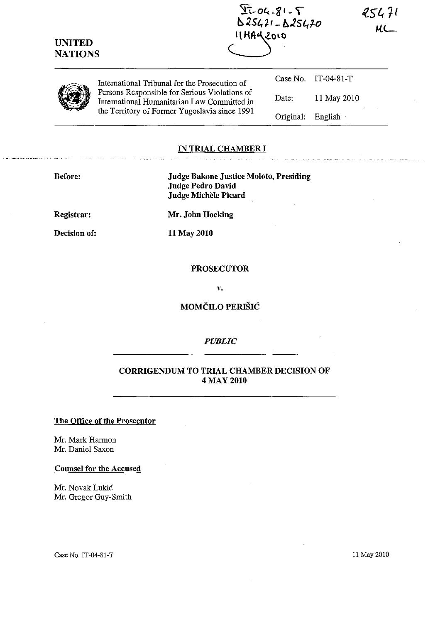| <b>UNITED</b><br><b>NATIONS</b> |                                                                                                                                               | $2 - 18 - 20 - 12$<br>$0.25471 - 0.25470$<br><b>IIMAYZOIO</b> |             | 25471 |
|---------------------------------|-----------------------------------------------------------------------------------------------------------------------------------------------|---------------------------------------------------------------|-------------|-------|
|                                 | International Tribunal for the Prosecution of                                                                                                 | Case No.                                                      | IT-04-81-T  |       |
|                                 | Persons Responsible for Serious Violations of<br>International Humanitarian Law Committed in<br>the Territory of Former Yugoslavia since 1991 | Date:                                                         | 11 May 2010 |       |
|                                 |                                                                                                                                               | Original:                                                     | English     |       |
|                                 |                                                                                                                                               |                                                               |             |       |

#### IN TRIAL CHAMBER I

| <b>Before:</b> | <b>Judge Bakone Justice Moloto, Presiding</b><br><b>Judge Pedro David</b><br>Judge Michèle Picard |
|----------------|---------------------------------------------------------------------------------------------------|
| Registrar:     | Mr. John Hocking                                                                                  |
| Decision of:   | 11 May 2010                                                                                       |

### PROSECUTOR

v.

MOMČILO PERIŠIĆ

## *PUBLIC*

# CORRIGENDUM TO TRIAL CHAMBER DECISION OF 4 MAY 2010

## The Office of the Prosecutor

Mr. Mark Harmon Mr. Daniel Saxon

## Counsel for the Accused

Mr. Novak Lukic Mr. Gregor Guy-Smith